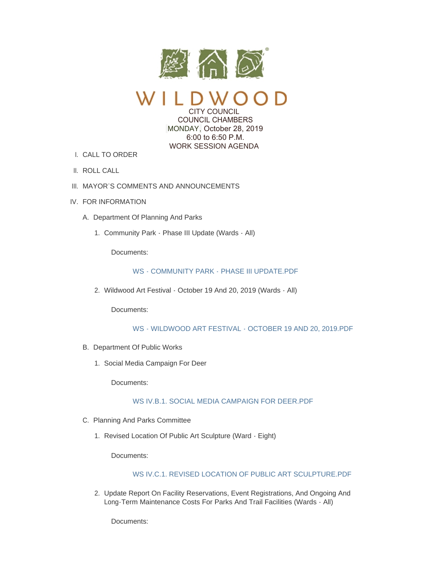

CITY COUNCIL COUNCIL CHAMBERS MONDAY, October 28, 2019

> 6:00 to 6:50 P.M. WORK SESSION AGENDA

CALL TO ORDER I.

- II. ROLL CALL
- III. MAYOR'S COMMENTS AND ANNOUNCEMENTS
- IV. FOR INFORMATION
	- A. Department Of Planning And Parks
		- 1. Community Park Phase III Update (Wards All)

Documents:

## [WS - COMMUNITY PARK - PHASE III UPDATE.PDF](https://www.cityofwildwood.com/AgendaCenter/ViewFile/Item/22636?fileID=28085)

Wildwood Art Festival - October 19 And 20, 2019 (Wards - All) 2.

Documents:

# [WS - WILDWOOD ART FESTIVAL - OCTOBER 19 AND 20, 2019.PDF](https://www.cityofwildwood.com/AgendaCenter/ViewFile/Item/22637?fileID=28108)

- B. Department Of Public Works
	- 1. Social Media Campaign For Deer

Documents:

## [WS IV.B.1. SOCIAL MEDIA CAMPAIGN FOR DEER.PDF](https://www.cityofwildwood.com/AgendaCenter/ViewFile/Item/22656?fileID=28100)

- C. Planning And Parks Committee
	- 1. Revised Location Of Public Art Sculpture (Ward Eight)

Documents:

#### [WS IV.C.1. REVISED LOCATION OF PUBLIC ART SCULPTURE.PDF](https://www.cityofwildwood.com/AgendaCenter/ViewFile/Item/22639?fileID=28086)

2. Update Report On Facility Reservations, Event Registrations, And Ongoing And Long-Term Maintenance Costs For Parks And Trail Facilities (Wards - All)

Documents: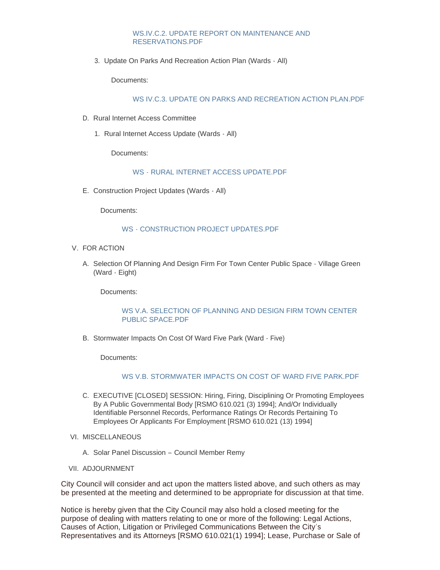# [WS.IV.C.2. UPDATE REPORT ON MAINTENANCE AND](https://www.cityofwildwood.com/AgendaCenter/ViewFile/Item/22640?fileID=28087)  RESERVATIONS.PDF

3. Update On Parks And Recreation Action Plan (Wards - All)

Documents:

## [WS IV.C.3. UPDATE ON PARKS AND RECREATION ACTION PLAN.PDF](https://www.cityofwildwood.com/AgendaCenter/ViewFile/Item/22641?fileID=28088)

- D. Rural Internet Access Committee
	- 1. Rural Internet Access Update (Wards All)

Documents:

## WS - RURAL INTERNET ACCESS UPDATE PDF

E. Construction Project Updates (Wards - All)

Documents:

## [WS - CONSTRUCTION PROJECT UPDATES.PDF](https://www.cityofwildwood.com/AgendaCenter/ViewFile/Item/22661?fileID=28101)

- V. FOR ACTION
	- A. Selection Of Planning And Design Firm For Town Center Public Space Village Green (Ward - Eight)

Documents:

## WS V.A. SELECTION OF PLANNING AND DESIGN FIRM TOWN CENTER PUBLIC SPACE.PDF

B. Stormwater Impacts On Cost Of Ward Five Park (Ward - Five)

Documents:

## [WS V.B. STORMWATER IMPACTS ON COST OF WARD FIVE PARK.PDF](https://www.cityofwildwood.com/AgendaCenter/ViewFile/Item/22645?fileID=28107)

- C. EXECUTIVE [CLOSED] SESSION: Hiring, Firing, Disciplining Or Promoting Employees By A Public Governmental Body [RSMO 610.021 (3) 1994]; And/Or Individually Identifiable Personnel Records, Performance Ratings Or Records Pertaining To Employees Or Applicants For Employment [RSMO 610.021 (13) 1994]
- VI. MISCELLANEOUS
	- A. Solar Panel Discussion Council Member Remy
- VII. ADJOURNMENT

City Council will consider and act upon the matters listed above, and such others as may be presented at the meeting and determined to be appropriate for discussion at that time.

Notice is hereby given that the City Council may also hold a closed meeting for the purpose of dealing with matters relating to one or more of the following: Legal Actions, Causes of Action, Litigation or Privileged Communications Between the City's Representatives and its Attorneys [RSMO 610.021(1) 1994]; Lease, Purchase or Sale of